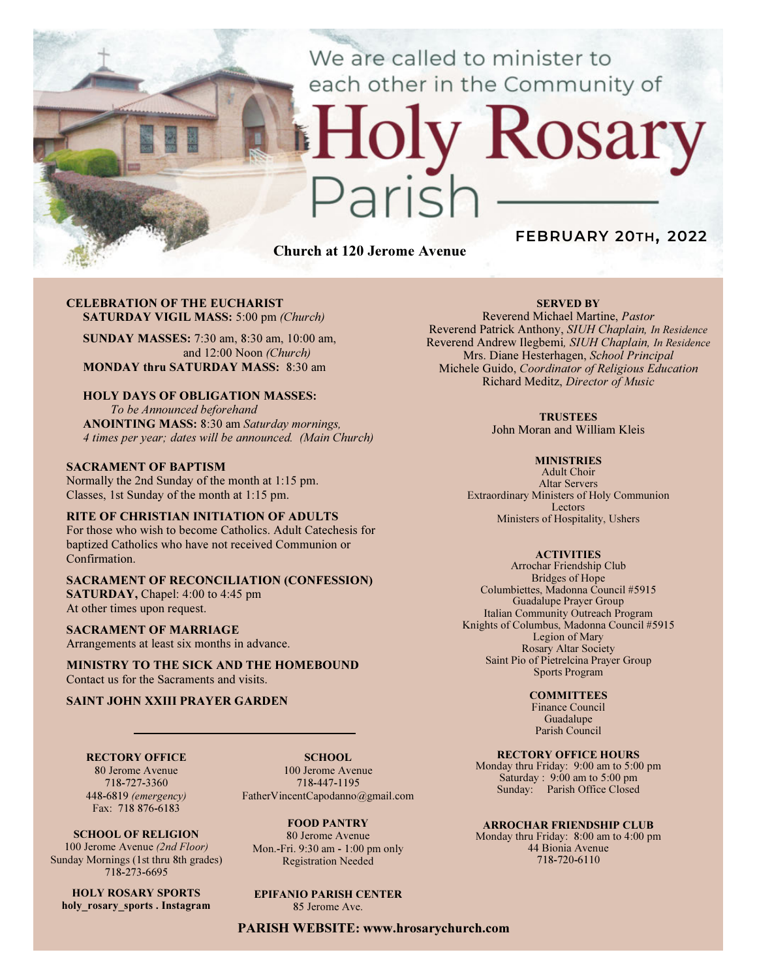We are called to minister to each other in the Community of

# Rosary ark

Church at 120 Jerome Avenue

# FEBRUARY 20TH, 2022

#### CELEBRATION OF THE EUCHARIST SATURDAY VIGIL MASS: 5:00 pm (Church)

SUNDAY MASSES: 7:30 am, 8:30 am, 10:00 am, and 12:00 Noon (Church) MONDAY thru SATURDAY MASS: 8:30 am

# HOLY DAYS OF OBLIGATION MASSES:

To be Announced beforehand ANOINTING MASS: 8:30 am Saturday mornings, 4 times per year; dates will be announced. (Main Church)

#### SACRAMENT OF BAPTISM

Normally the 2nd Sunday of the month at 1:15 pm. Classes, 1st Sunday of the month at 1:15 pm.

#### RITE OF CHRISTIAN INITIATION OF ADULTS

For those who wish to become Catholics. Adult Catechesis for baptized Catholics who have not received Communion or Confirmation.

#### SACRAMENT OF RECONCILIATION (CONFESSION) SATURDAY, Chapel: 4:00 to 4:45 pm At other times upon request.

SACRAMENT OF MARRIAGE Arrangements at least six months in advance.

MINISTRY TO THE SICK AND THE HOMEBOUND Contact us for the Sacraments and visits.

#### SAINT JOHN XXIII PRAYER GARDEN

RECTORY OFFICE 80 Jerome Avenue 718-727-3360

448-6819 (emergency)

SCHOOL. 100 Jerome Avenue 718-447-1195 FatherVincentCapodanno@gmail.com

Fax: 718 876-6183 SCHOOL OF RELIGION 100 Jerome Avenue (2nd Floor)

Sunday Mornings (1st thru 8th grades) 718-273-6695

HOLY ROSARY SPORTS holy rosary sports . Instagram

FOOD PANTRY 80 Jerome Avenue Mon.-Fri. 9:30 am - 1:00 pm only Registration Needed

# EPIFANIO PARISH CENTER

85 Jerome Ave.

#### PARISH WEBSITE: www.hrosarychurch.com

#### SERVED BY

Reverend Michael Martine, Pastor Reverend Patrick Anthony, SIUH Chaplain, In Residence Reverend Andrew Ilegbemi, SIUH Chaplain, In Residence Mrs. Diane Hesterhagen, School Principal Michele Guido, Coordinator of Religious Education Richard Meditz, Director of Music

#### **TRUSTEES**

John Moran and William Kleis

#### **MINISTRIES**

Adult Choir Altar Servers Extraordinary Ministers of Holy Communion Lectors Ministers of Hospitality, Ushers

#### **ACTIVITIES**

Arrochar Friendship Club Bridges of Hope Columbiettes, Madonna Council #5915 Guadalupe Prayer Group Italian Community Outreach Program Knights of Columbus, Madonna Council #5915 Legion of Mary Rosary Altar Society Saint Pio of Pietrelcina Prayer Group Sports Program

#### **COMMITTEES**

Finance Council Guadalupe Parish Council

#### RECTORY OFFICE HOURS

Monday thru Friday: 9:00 am to 5:00 pm Saturday : 9:00 am to 5:00 pm Sunday: Parish Office Closed

#### ARROCHAR FRIENDSHIP CLUB

Monday thru Friday: 8:00 am to 4:00 pm 44 Bionia Avenue 718-720-6110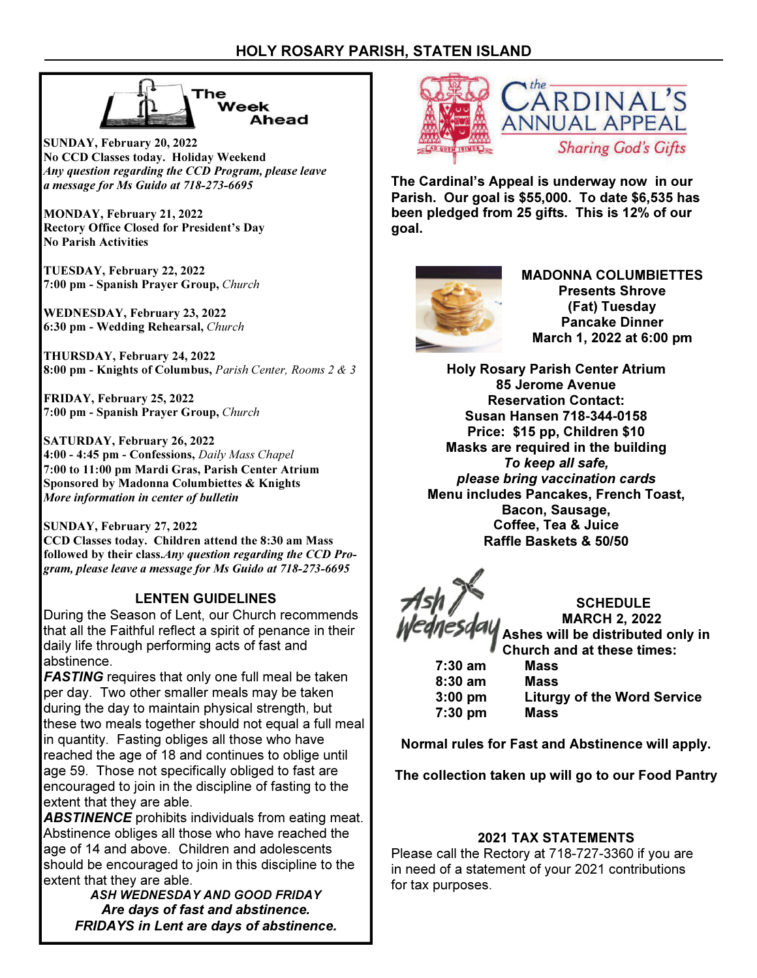



SUNDAY, February 20, 2022 No CCD Classes today. Holiday Weekend Any question regarding the CCD Program, please leave a message for Ms Guido at 718-273-6695

MONDAY, February 21, 2022 Rectory Office Closed for President's Day No Parish Activities

TUESDAY, February 22, 2022 7:00 pm - Spanish Prayer Group, Church

WEDNESDAY, February 23, 2022 6:30 pm - Wedding Rehearsal, Church

THURSDAY, February 24, 2022 8:00 pm - Knights of Columbus, Parish Center, Rooms 2 & 3

FRIDAY, February 25, 2022 7:00 pm - Spanish Prayer Group, Church

SATURDAY, February 26, 2022 4:00 - 4:45 pm - Confessions, Daily Mass Chapel 7:00 to 11:00 pm Mardi Gras, Parish Center Atrium Sponsored by Madonna Columbiettes & Knights More information in center of bulletin

SUNDAY, February 27, 2022 CCD Classes today. Children attend the 8:30 am Mass followed by their class.Any question regarding the CCD Program, please leave a message for Ms Guido at 718-273-6695

# LENTEN GUIDELINES

During the Season of Lent, our Church recommends that all the Faithful reflect a spirit of penance in their daily life through performing acts of fast and abstinence.

**FASTING** requires that only one full meal be taken per day. Two other smaller meals may be taken during the day to maintain physical strength, but these two meals together should not equal a full meal in quantity. Fasting obliges all those who have reached the age of 18 and continues to oblige until age 59. Those not specifically obliged to fast are encouraged to join in the discipline of fasting to the extent that they are able.

ABSTINENCE prohibits individuals from eating meat. Abstinence obliges all those who have reached the age of 14 and above. Children and adolescents should be encouraged to join in this discipline to the extent that they are able.

ASH WEDNESDAY AND GOOD FRIDAY Are days of fast and abstinence. FRIDAYS in Lent are days of abstinence.



The Cardinal's Appeal is underway now in our Parish. Our goal is \$55,000. To date \$6,535 has been pledged from 25 gifts. This is 12% of our goal.



MADONNA COLUMBIETTES Presents Shrove (Fat) Tuesday Pancake Dinner March 1, 2022 at 6:00 pm

Holy Rosary Parish Center Atrium 85 Jerome Avenue Reservation Contact: Susan Hansen 718-344-0158 Price: \$15 pp, Children \$10 Masks are required in the building To keep all safe, please bring vaccination cards Menu includes Pancakes, French Toast, Bacon, Sausage, Coffee, Tea & Juice Raffle Baskets & 50/50

**SCHEDULE** MARCH 2, 2022 Ashes will be distributed only in Church and at these times:

 7:30 am Mass 8:30 am Mass 3:00 pm Liturgy of the Word Service 7:30 pm Mass

Normal rules for Fast and Abstinence will apply.

The collection taken up will go to our Food Pantry

# 2021 TAX STATEMENTS

Please call the Rectory at 718-727-3360 if you are in need of a statement of your 2021 contributions for tax purposes.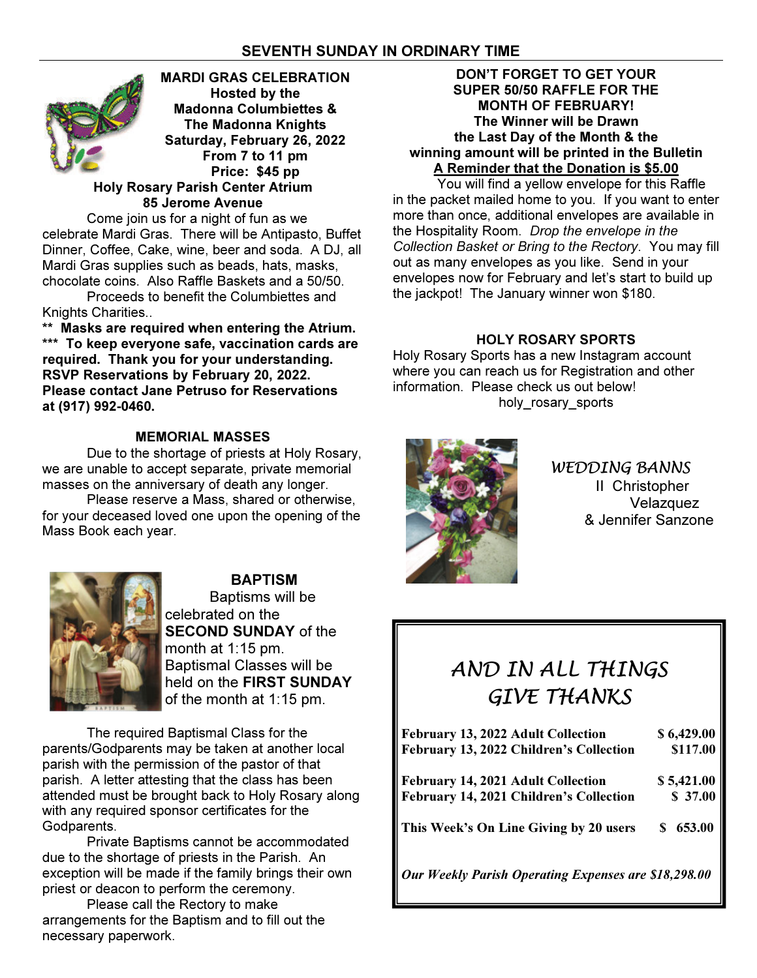# SEVENTH SUNDAY IN ORDINARY TIME



 Come join us for a night of fun as we celebrate Mardi Gras. There will be Antipasto, Buffet Dinner, Coffee, Cake, wine, beer and soda. A DJ, all Mardi Gras supplies such as beads, hats, masks, chocolate coins. Also Raffle Baskets and a 50/50.

 Proceeds to benefit the Columbiettes and Knights Charities..

\*\* Masks are required when entering the Atrium. \*\*\* To keep everyone safe, vaccination cards are required. Thank you for your understanding. RSVP Reservations by February 20, 2022. Please contact Jane Petruso for Reservations at (917) 992-0460.

# MEMORIAL MASSES

 Due to the shortage of priests at Holy Rosary, we are unable to accept separate, private memorial masses on the anniversary of death any longer.

 Please reserve a Mass, shared or otherwise, for your deceased loved one upon the opening of the Mass Book each year.



BAPTISM Baptisms will be celebrated on the **SECOND SUNDAY of the** month at 1:15 pm. Baptismal Classes will be held on the FIRST SUNDAY of the month at 1:15 pm.

The required Baptismal Class for the parents/Godparents may be taken at another local parish with the permission of the pastor of that parish. A letter attesting that the class has been attended must be brought back to Holy Rosary along with any required sponsor certificates for the Godparents.

 Private Baptisms cannot be accommodated due to the shortage of priests in the Parish. An exception will be made if the family brings their own priest or deacon to perform the ceremony.

 Please call the Rectory to make arrangements for the Baptism and to fill out the necessary paperwork.

### DON'T FORGET TO GET YOUR SUPER 50/50 RAFFLE FOR THE MONTH OF FEBRUARY! The Winner will be Drawn the Last Day of the Month & the winning amount will be printed in the Bulletin A Reminder that the Donation is \$5.00

 You will find a yellow envelope for this Raffle in the packet mailed home to you. If you want to enter more than once, additional envelopes are available in the Hospitality Room. Drop the envelope in the Collection Basket or Bring to the Rectory. You may fill out as many envelopes as you like. Send in your envelopes now for February and let's start to build up the jackpot! The January winner won \$180.

# HOLY ROSARY SPORTS

Holy Rosary Sports has a new Instagram account where you can reach us for Registration and other information. Please check us out below! holy rosary sports



WEDDING BANNS II Christopher Velazquez & Jennifer Sanzone

# AND IN ALL THINGS GIVE THANKS

| February 13, 2022 Adult Collection                   | \$6,429.00 |
|------------------------------------------------------|------------|
| February 13, 2022 Children's Collection              | \$117.00   |
| <b>February 14, 2021 Adult Collection</b>            | \$5,421.00 |
| February 14, 2021 Children's Collection              | \$37.00    |
| This Week's On Line Giving by 20 users               | \$653.00   |
| Our Weekly Parish Operating Expenses are \$18,298.00 |            |